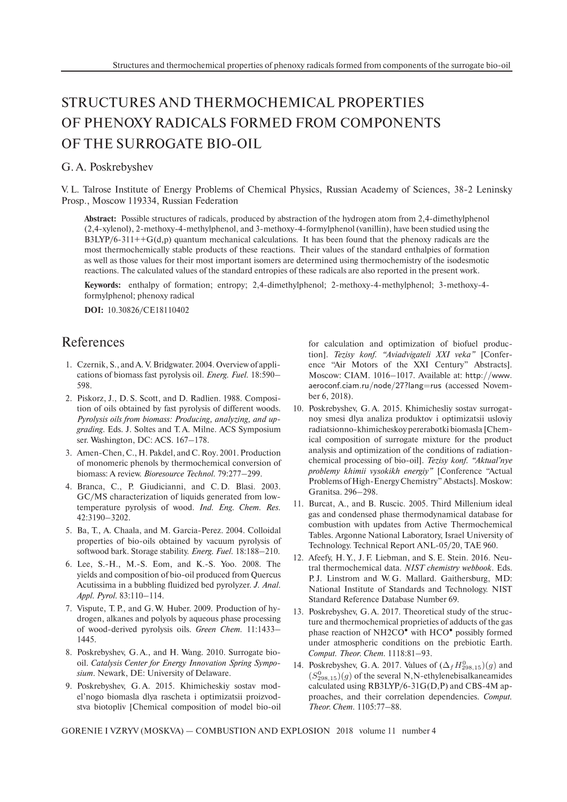## STRUCTURES AND THERMOCHEMICAL PROPERTIES OF PHENOXY RADICALS FORMED FROM COMPONENTS OF THE SURROGATE BIO-OIL

## G. A. Poskrebyshev

V. L. Talrose Institute of Energy Problems of Chemical Physics, Russian Academy of Sciences, 38-2 Leninsky Prosp., Moscow 119334, Russian Federation

**Abstract:** Possible structures of radicals, produced by abstraction of the hydrogen atom from 2,4-dimethylphenol (2,4-xylenol), 2-methoxy-4-methylphenol, and 3-methoxy-4-formylphenol (vanillin), have been studied using the  $B3LYP/6-311++G(d,p)$  quantum mechanical calculations. It has been found that the phenoxy radicals are the most thermochemically stable products of these reactions. Their values of the standard enthalpies of formation as well as those values for their most important isomers are determined using thermochemistry of the isodesmotic reactions. The calculated values of the standard entropies of these radicals are also reported in the present work.

**Keywords:** enthalpy of formation; entropy; 2,4-dimethylphenol; 2-methoxy-4-methylphenol; 3-methoxy-4 formylphenol; phenoxy radical

**DOI:** 10.30826/CE18110402

## References

- 1. Czernik, S., and A. V. Bridgwater. 2004. Overview of applications of biomass fast pyrolysis oil. *Energ. Fuel.* 18:590– 598.
- 2. Piskorz, J., D. S. Scott, and D. Radlien. 1988. Composition of oils obtained by fast pyrolysis of different woods. *Pyrolysis oils from biomass: Producing, analyzing, and upgrading*. Eds. J. Soltes and T. A. Milne. ACS Symposium ser. Washington, DC: ACS. 167–178.
- 3. Amen-Chen, C., H. Pakdel, and C. Roy. 2001. Production of monomeric phenols by thermochemical conversion of biomass: A review. *Bioresource Technol.* 79:277–299.
- 4. Branca, C., P. Giudicianni, and C. D. Blasi. 2003. GC/MS characterization of liquids generated from lowtemperature pyrolysis of wood. *Ind. Eng. Chem. Res.* 42:3190–3202.
- 5. Ba, T., A. Chaala, and M. Garcia-Perez. 2004. Colloidal properties of bio-oils obtained by vacuum pyrolysis of softwood bark. Storage stability. *Energ. Fuel.* 18:188–210.
- 6. Lee, S.-H., M.-S. Eom, and K.-S. Yoo. 2008. The yields and composition of bio-oil produced from Quercus Acutissima in a bubbling fluidized bed pyrolyzer. *J. Anal. Appl. Pyrol.* 83:110–114.
- 7. Vispute, T. P., and G. W. Huber. 2009. Production of hydrogen, alkanes and polyols by aqueous phase processing of wood-derived pyrolysis oils. *Green Chem.* 11:1433– 1445.
- 8. Poskrebyshev, G. A., and H. Wang. 2010. Surrogate biooil. *Catalysis Center for Energy Innovation Spring Symposium*. Newark, DE: University of Delaware.
- 9. Poskrebyshev, G. A. 2015. Khimicheskiy sostav model'nogo biomasla dlya rascheta i optimizatsii proizvodstva biotopliv [Chemical composition of model bio-oil

for calculation and optimization of biofuel production]. *Tezisy konf. "Aviadvigateli XXI veka"* [Conference "Air Motors of the XXI Century" Abstracts]. Moscow: CIAM. 1016–1017. Available at: http://www. aeroconf.ciam.ru/node/27?lang=rus (accessed November 6, 2018).

- 10. Poskrebyshev, G. A. 2015. Khimichesliy sostav surrogatnoy smesi dlya analiza produktov i optimizatsii usloviy radiatsionno-khimicheskoy pererabotki biomasla [Chemical composition of surrogate mixture for the product analysis and optimization of the conditions of radiationchemical processing of bio-oil]. *Tezisy konf. "Aktual'nye problemy khimii vysokikh energiy"* [Conference "Actual Problems of High-Energy Chemistry" Abstacts]. Moskow: Granitsa. 296–298.
- 11. Burcat, A., and B. Ruscic. 2005. Third Millenium ideal gas and condensed phase thermodynamical database for combustion with updates from Active Thermochemical Tables. Argonne National Laboratory, Israel University of Technology. Technical Report ANL-05/20, TAE 960.
- 12. Afeefy, H. Y., J. F. Liebman, and S. E. Stein. 2016. Neutral thermochemical data. *NIST chemistry webbook*. Eds. P.J. Linstrom and W.G. Mallard. Gaithersburg, MD: National Institute of Standards and Technology. NIST Standard Reference Database Number 69.
- 13. Poskrebyshev, G. A. 2017. Theoretical study of the structure and thermochemical proprieties of adducts of the gas phase reaction of NH2CO<sup>•</sup> with HCO<sup>•</sup> possibly formed under atmospheric conditions on the prebiotic Earth. *Comput. Theor. Chem.* 1118:81–93.
- 14. Poskrebyshev, G.A. 2017. Values of  $(\Delta_f H_{298,15}^0)(g)$  and  $(S_{298,15}^0)(g)$  of the several N,N-ethylenebisalkaneamides calculated using RB3LYP/6-31G(D,P) and CBS-4M approaches, and their correlation dependencies. *Comput. Theor. Chem.* 1105:77–88.

GORENIE I VZRYV (MOSKVA) — COMBUSTION AND EXPLOSION 2018 volume 11 number 4